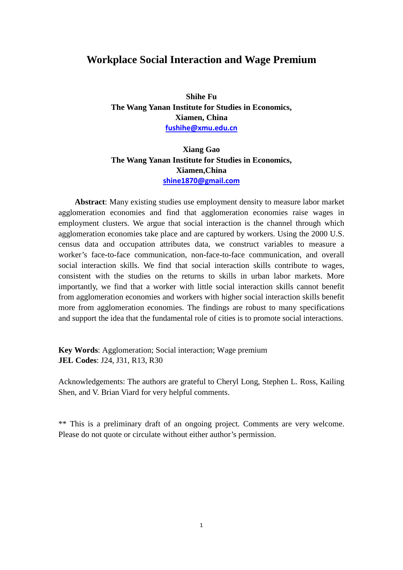### **Workplace Social Interaction and Wage Premium**

**Shihe Fu The Wang Yanan Institute for Studies in Economics, Xiamen, China [fushihe@xmu.edu.cn](mailto:fushihe@xmu.edu.cn)**

#### **Xiang Gao The Wang Yanan Institute for Studies in Economics, Xiamen,China [shine1870@gmail.com](mailto:shine1870@gmail.com)**

**Abstract**: Many existing studies use employment density to measure labor market agglomeration economies and find that agglomeration economies raise wages in employment clusters. We argue that social interaction is the channel through which agglomeration economies take place and are captured by workers. Using the 2000 U.S. census data and occupation attributes data, we construct variables to measure a worker's face-to-face communication, non-face-to-face communication, and overall social interaction skills. We find that social interaction skills contribute to wages, consistent with the studies on the returns to skills in urban labor markets. More importantly, we find that a worker with little social interaction skills cannot benefit from agglomeration economies and workers with higher social interaction skills benefit more from agglomeration economies. The findings are robust to many specifications and support the idea that the fundamental role of cities is to promote social interactions.

**Key Words**: Agglomeration; Social interaction; Wage premium **JEL Codes**: J24, J31, R13, R30

Acknowledgements: The authors are grateful to Cheryl Long, Stephen L. Ross, Kailing Shen, and V. Brian Viard for very helpful comments.

\*\* This is a preliminary draft of an ongoing project. Comments are very welcome. Please do not quote or circulate without either author's permission.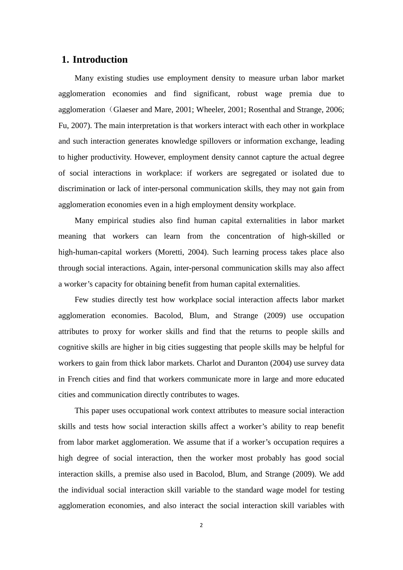#### **1. Introduction**

Many existing studies use employment density to measure urban labor market agglomeration economies and find significant, robust wage premia due to agglomeration (Glaeser and Mare, 2001; Wheeler, 2001; Rosenthal and Strange, 2006; Fu, 2007). The main interpretation is that workers interact with each other in workplace and such interaction generates knowledge spillovers or information exchange, leading to higher productivity. However, employment density cannot capture the actual degree of social interactions in workplace: if workers are segregated or isolated due to discrimination or lack of inter-personal communication skills, they may not gain from agglomeration economies even in a high employment density workplace.

Many empirical studies also find human capital externalities in labor market meaning that workers can learn from the concentration of high-skilled or high-human-capital workers (Moretti, 2004). Such learning process takes place also through social interactions. Again, inter-personal communication skills may also affect a worker's capacity for obtaining benefit from human capital externalities.

Few studies directly test how workplace social interaction affects labor market agglomeration economies. Bacolod, Blum, and Strange (2009) use occupation attributes to proxy for worker skills and find that the returns to people skills and cognitive skills are higher in big cities suggesting that people skills may be helpful for workers to gain from thick labor markets. Charlot and Duranton (2004) use survey data in French cities and find that workers communicate more in large and more educated cities and communication directly contributes to wages.

This paper uses occupational work context attributes to measure social interaction skills and tests how social interaction skills affect a worker's ability to reap benefit from labor market agglomeration. We assume that if a worker's occupation requires a high degree of social interaction, then the worker most probably has good social interaction skills, a premise also used in Bacolod, Blum, and Strange (2009). We add the individual social interaction skill variable to the standard wage model for testing agglomeration economies, and also interact the social interaction skill variables with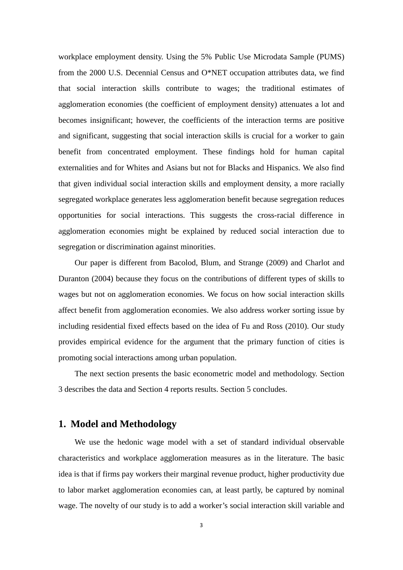workplace employment density. Using the 5% Public Use Microdata Sample (PUMS) from the 2000 U.S. Decennial Census and O\*NET occupation attributes data, we find that social interaction skills contribute to wages; the traditional estimates of agglomeration economies (the coefficient of employment density) attenuates a lot and becomes insignificant; however, the coefficients of the interaction terms are positive and significant, suggesting that social interaction skills is crucial for a worker to gain benefit from concentrated employment. These findings hold for human capital externalities and for Whites and Asians but not for Blacks and Hispanics. We also find that given individual social interaction skills and employment density, a more racially segregated workplace generates less agglomeration benefit because segregation reduces opportunities for social interactions. This suggests the cross-racial difference in agglomeration economies might be explained by reduced social interaction due to segregation or discrimination against minorities.

Our paper is different from Bacolod, Blum, and Strange (2009) and Charlot and Duranton (2004) because they focus on the contributions of different types of skills to wages but not on agglomeration economies. We focus on how social interaction skills affect benefit from agglomeration economies. We also address worker sorting issue by including residential fixed effects based on the idea of Fu and Ross (2010). Our study provides empirical evidence for the argument that the primary function of cities is promoting social interactions among urban population.

The next section presents the basic econometric model and methodology. Section 3 describes the data and Section 4 reports results. Section 5 concludes.

#### **1. Model and Methodology**

We use the hedonic wage model with a set of standard individual observable characteristics and workplace agglomeration measures as in the literature. The basic idea is that if firms pay workers their marginal revenue product, higher productivity due to labor market agglomeration economies can, at least partly, be captured by nominal wage. The novelty of our study is to add a worker's social interaction skill variable and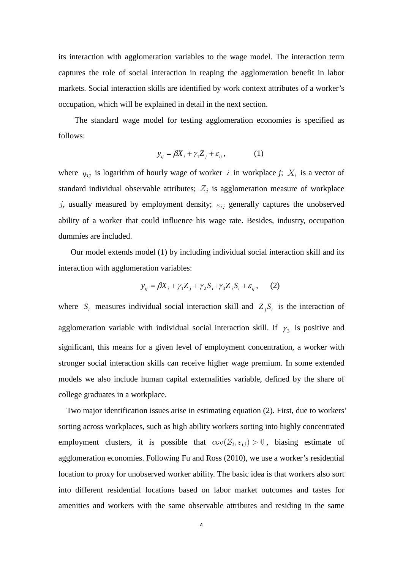its interaction with agglomeration variables to the wage model. The interaction term captures the role of social interaction in reaping the agglomeration benefit in labor markets. Social interaction skills are identified by work context attributes of a worker's occupation, which will be explained in detail in the next section.

The standard wage model for testing agglomeration economies is specified as follows:

$$
y_{ij} = \beta X_i + \gamma_1 Z_j + \varepsilon_{ij}, \qquad (1)
$$

where  $y_{ij}$  is logarithm of hourly wage of worker i in workplace *j*;  $X_i$  is a vector of standard individual observable attributes;  $Z_j$  is agglomeration measure of workplace j, usually measured by employment density;  $\varepsilon_{ij}$  generally captures the unobserved ability of a worker that could influence his wage rate. Besides, industry, occupation dummies are included.

 Our model extends model (1) by including individual social interaction skill and its interaction with agglomeration variables:

$$
y_{ij} = \beta X_i + \gamma_1 Z_j + \gamma_2 S_i + \gamma_3 Z_j S_i + \varepsilon_{ij}, \qquad (2)
$$

where  $S_i$  measures individual social interaction skill and  $Z_i S_i$  is the interaction of agglomeration variable with individual social interaction skill. If  $\gamma_3$  is positive and significant, this means for a given level of employment concentration, a worker with stronger social interaction skills can receive higher wage premium. In some extended models we also include human capital externalities variable, defined by the share of college graduates in a workplace.

Two major identification issues arise in estimating equation (2). First, due to workers' sorting across workplaces, such as high ability workers sorting into highly concentrated employment clusters, it is possible that  $cov(Z_i, \varepsilon_{ij}) > 0$ , biasing estimate of agglomeration economies. Following Fu and Ross (2010), we use a worker's residential location to proxy for unobserved worker ability. The basic idea is that workers also sort into different residential locations based on labor market outcomes and tastes for amenities and workers with the same observable attributes and residing in the same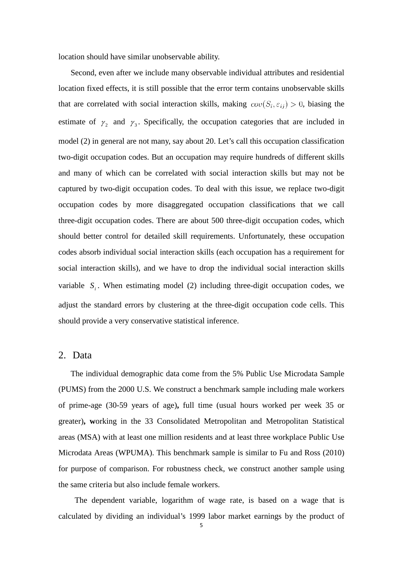location should have similar unobservable ability.

 Second, even after we include many observable individual attributes and residential location fixed effects, it is still possible that the error term contains unobservable skills that are correlated with social interaction skills, making  $cov(S_i, \varepsilon_{ij}) > 0$ , biasing the estimate of  $\gamma_2$  and  $\gamma_3$ . Specifically, the occupation categories that are included in model (2) in general are not many, say about 20. Let's call this occupation classification two-digit occupation codes. But an occupation may require hundreds of different skills and many of which can be correlated with social interaction skills but may not be captured by two-digit occupation codes. To deal with this issue, we replace two-digit occupation codes by more disaggregated occupation classifications that we call three-digit occupation codes. There are about 500 three-digit occupation codes, which should better control for detailed skill requirements. Unfortunately, these occupation codes absorb individual social interaction skills (each occupation has a requirement for social interaction skills), and we have to drop the individual social interaction skills variable  $S_i$ . When estimating model (2) including three-digit occupation codes, we adjust the standard errors by clustering at the three-digit occupation code cells. This should provide a very conservative statistical inference.

#### 2. Data

 The individual demographic data come from the 5% Public Use Microdata Sample (PUMS) from the 2000 U.S. We construct a benchmark sample including male workers of prime-age (30-59 years of age)**,** full time (usual hours worked per week 35 or greater)**, w**orking in the 33 Consolidated Metropolitan and Metropolitan Statistical areas (MSA) with at least one million residents and at least three workplace Public Use Microdata Areas (WPUMA). This benchmark sample is similar to Fu and Ross (2010) for purpose of comparison. For robustness check, we construct another sample using the same criteria but also include female workers.

The dependent variable, logarithm of wage rate, is based on a wage that is calculated by dividing an individual's 1999 labor market earnings by the product of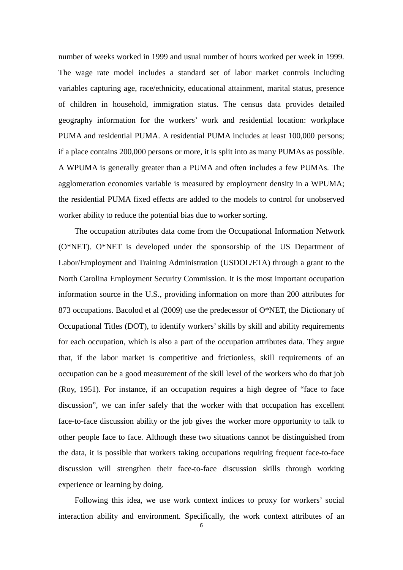number of weeks worked in 1999 and usual number of hours worked per week in 1999. The wage rate model includes a standard set of labor market controls including variables capturing age, race/ethnicity, educational attainment, marital status, presence of children in household, immigration status. The census data provides detailed geography information for the workers' work and residential location: workplace PUMA and residential PUMA. A residential PUMA includes at least 100,000 persons; if a place contains 200,000 persons or more, it is split into as many PUMAs as possible. A WPUMA is generally greater than a PUMA and often includes a few PUMAs. The agglomeration economies variable is measured by employment density in a WPUMA; the residential PUMA fixed effects are added to the models to control for unobserved worker ability to reduce the potential bias due to worker sorting.

The occupation attributes data come from the Occupational Information Network (O\*NET). O\*NET is developed under the sponsorship of the US Department of Labor/Employment and Training Administration (USDOL/ETA) through a grant to the North Carolina Employment Security Commission. It is the most important occupation information source in the U.S., providing information on more than 200 attributes for 873 occupations. Bacolod et al (2009) use the predecessor of O\*NET, the Dictionary of Occupational Titles (DOT), to identify workers' skills by skill and ability requirements for each occupation, which is also a part of the occupation attributes data. They argue that, if the labor market is competitive and frictionless, skill requirements of an occupation can be a good measurement of the skill level of the workers who do that job (Roy, 1951). For instance, if an occupation requires a high degree of "face to face discussion", we can infer safely that the worker with that occupation has excellent face-to-face discussion ability or the job gives the worker more opportunity to talk to other people face to face. Although these two situations cannot be distinguished from the data, it is possible that workers taking occupations requiring frequent face-to-face discussion will strengthen their face-to-face discussion skills through working experience or learning by doing.

Following this idea, we use work context indices to proxy for workers' social interaction ability and environment. Specifically, the work context attributes of an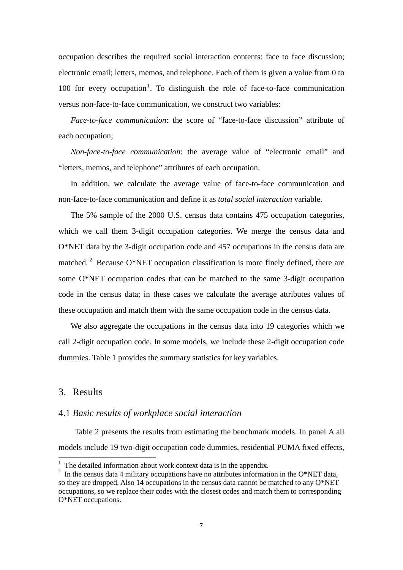occupation describes the required social interaction contents: face to face discussion; electronic email; letters, memos, and telephone. Each of them is given a value from 0 to [1](#page-6-0)00 for every occupation<sup>1</sup>. To distinguish the role of face-to-face communication versus non-face-to-face communication, we construct two variables:

 *Face-to-face communication*: the score of "face-to-face discussion" attribute of each occupation;

 *Non-face-to-face communication*: the average value of "electronic email" and "letters, memos, and telephone" attributes of each occupation.

 In addition, we calculate the average value of face-to-face communication and non-face-to-face communication and define it as *total social interaction* variable.

 The 5% sample of the 2000 U.S. census data contains 475 occupation categories, which we call them 3-digit occupation categories. We merge the census data and O\*NET data by the 3-digit occupation code and 457 occupations in the census data are matched.<sup>[2](#page-6-1)</sup> Because O\*NET occupation classification is more finely defined, there are some O\*NET occupation codes that can be matched to the same 3-digit occupation code in the census data; in these cases we calculate the average attributes values of these occupation and match them with the same occupation code in the census data.

 We also aggregate the occupations in the census data into 19 categories which we call 2-digit occupation code. In some models, we include these 2-digit occupation code dummies. Table 1 provides the summary statistics for key variables.

#### 3. Results

l

#### 4.1 *Basic results of workplace social interaction*

Table 2 presents the results from estimating the benchmark models. In panel A all models include 19 two-digit occupation code dummies, residential PUMA fixed effects,

<span id="page-6-0"></span> $1$  The detailed information about work context data is in the appendix.

<span id="page-6-1"></span><sup>&</sup>lt;sup>2</sup> In the census data 4 military occupations have no attributes information in the O\*NET data, so they are dropped. Also 14 occupations in the census data cannot be matched to any O\*NET occupations, so we replace their codes with the closest codes and match them to corresponding O\*NET occupations.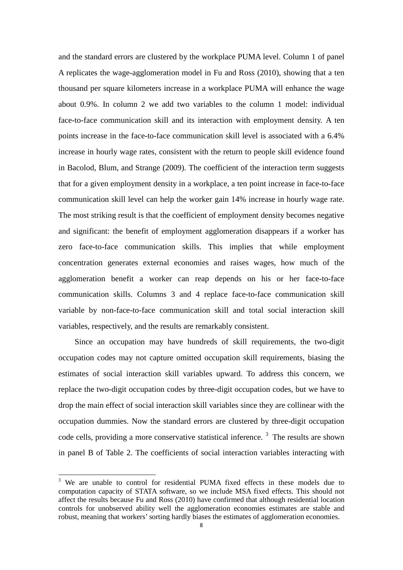and the standard errors are clustered by the workplace PUMA level. Column 1 of panel A replicates the wage-agglomeration model in Fu and Ross (2010), showing that a ten thousand per square kilometers increase in a workplace PUMA will enhance the wage about 0.9%. In column 2 we add two variables to the column 1 model: individual face-to-face communication skill and its interaction with employment density. A ten points increase in the face-to-face communication skill level is associated with a 6.4% increase in hourly wage rates, consistent with the return to people skill evidence found in Bacolod, Blum, and Strange (2009). The coefficient of the interaction term suggests that for a given employment density in a workplace, a ten point increase in face-to-face communication skill level can help the worker gain 14% increase in hourly wage rate. The most striking result is that the coefficient of employment density becomes negative and significant: the benefit of employment agglomeration disappears if a worker has zero face-to-face communication skills. This implies that while employment concentration generates external economies and raises wages, how much of the agglomeration benefit a worker can reap depends on his or her face-to-face communication skills. Columns 3 and 4 replace face-to-face communication skill variable by non-face-to-face communication skill and total social interaction skill variables, respectively, and the results are remarkably consistent.

Since an occupation may have hundreds of skill requirements, the two-digit occupation codes may not capture omitted occupation skill requirements, biasing the estimates of social interaction skill variables upward. To address this concern, we replace the two-digit occupation codes by three-digit occupation codes, but we have to drop the main effect of social interaction skill variables since they are collinear with the occupation dummies. Now the standard errors are clustered by three-digit occupation code cells, providing a more conservative statistical inference.<sup>[3](#page-7-0)</sup> The results are shown in panel B of Table 2. The coefficients of social interaction variables interacting with

 $\overline{\phantom{0}}$ 

<span id="page-7-0"></span><sup>&</sup>lt;sup>3</sup> We are unable to control for residential PUMA fixed effects in these models due to computation capacity of STATA software, so we include MSA fixed effects. This should not affect the results because Fu and Ross (2010) have confirmed that although residential location controls for unobserved ability well the agglomeration economies estimates are stable and robust, meaning that workers' sorting hardly biases the estimates of agglomeration economies.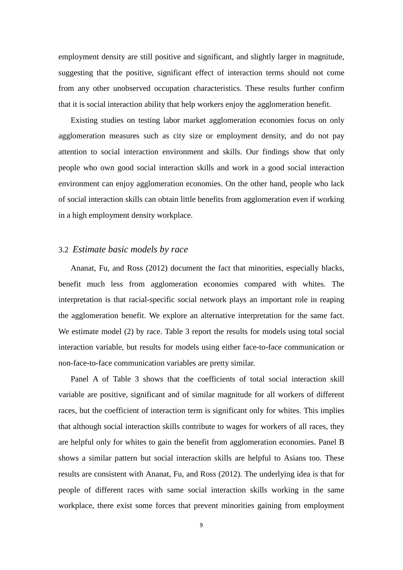employment density are still positive and significant, and slightly larger in magnitude, suggesting that the positive, significant effect of interaction terms should not come from any other unobserved occupation characteristics. These results further confirm that it is social interaction ability that help workers enjoy the agglomeration benefit.

 Existing studies on testing labor market agglomeration economies focus on only agglomeration measures such as city size or employment density, and do not pay attention to social interaction environment and skills. Our findings show that only people who own good social interaction skills and work in a good social interaction environment can enjoy agglomeration economies. On the other hand, people who lack of social interaction skills can obtain little benefits from agglomeration even if working in a high employment density workplace.

#### 3.2 *Estimate basic models by race*

 Ananat, Fu, and Ross (2012) document the fact that minorities, especially blacks, benefit much less from agglomeration economies compared with whites. The interpretation is that racial-specific social network plays an important role in reaping the agglomeration benefit. We explore an alternative interpretation for the same fact. We estimate model (2) by race. Table 3 report the results for models using total social interaction variable, but results for models using either face-to-face communication or non-face-to-face communication variables are pretty similar.

 Panel A of Table 3 shows that the coefficients of total social interaction skill variable are positive, significant and of similar magnitude for all workers of different races, but the coefficient of interaction term is significant only for whites. This implies that although social interaction skills contribute to wages for workers of all races, they are helpful only for whites to gain the benefit from agglomeration economies. Panel B shows a similar pattern but social interaction skills are helpful to Asians too. These results are consistent with Ananat, Fu, and Ross (2012). The underlying idea is that for people of different races with same social interaction skills working in the same workplace, there exist some forces that prevent minorities gaining from employment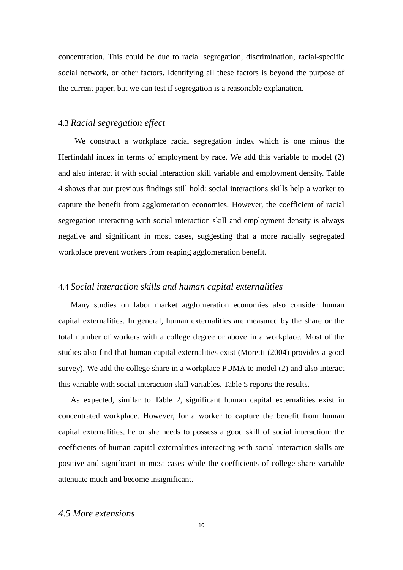concentration. This could be due to racial segregation, discrimination, racial-specific social network, or other factors. Identifying all these factors is beyond the purpose of the current paper, but we can test if segregation is a reasonable explanation.

#### 4.3 *Racial segregation effect*

 We construct a workplace racial segregation index which is one minus the Herfindahl index in terms of employment by race. We add this variable to model (2) and also interact it with social interaction skill variable and employment density. Table 4 shows that our previous findings still hold: social interactions skills help a worker to capture the benefit from agglomeration economies. However, the coefficient of racial segregation interacting with social interaction skill and employment density is always negative and significant in most cases, suggesting that a more racially segregated workplace prevent workers from reaping agglomeration benefit.

#### 4.4 *Social interaction skills and human capital externalities*

 Many studies on labor market agglomeration economies also consider human capital externalities. In general, human externalities are measured by the share or the total number of workers with a college degree or above in a workplace. Most of the studies also find that human capital externalities exist (Moretti (2004) provides a good survey). We add the college share in a workplace PUMA to model (2) and also interact this variable with social interaction skill variables. Table 5 reports the results.

 As expected, similar to Table 2, significant human capital externalities exist in concentrated workplace. However, for a worker to capture the benefit from human capital externalities, he or she needs to possess a good skill of social interaction: the coefficients of human capital externalities interacting with social interaction skills are positive and significant in most cases while the coefficients of college share variable attenuate much and become insignificant.

#### *4.5 More extensions*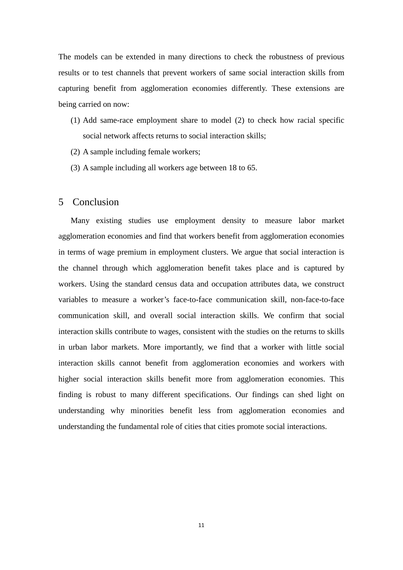The models can be extended in many directions to check the robustness of previous results or to test channels that prevent workers of same social interaction skills from capturing benefit from agglomeration economies differently. These extensions are being carried on now:

- (1) Add same-race employment share to model (2) to check how racial specific social network affects returns to social interaction skills;
- (2) A sample including female workers;
- (3) A sample including all workers age between 18 to 65.

#### 5 Conclusion

 Many existing studies use employment density to measure labor market agglomeration economies and find that workers benefit from agglomeration economies in terms of wage premium in employment clusters. We argue that social interaction is the channel through which agglomeration benefit takes place and is captured by workers. Using the standard census data and occupation attributes data, we construct variables to measure a worker's face-to-face communication skill, non-face-to-face communication skill, and overall social interaction skills. We confirm that social interaction skills contribute to wages, consistent with the studies on the returns to skills in urban labor markets. More importantly, we find that a worker with little social interaction skills cannot benefit from agglomeration economies and workers with higher social interaction skills benefit more from agglomeration economies. This finding is robust to many different specifications. Our findings can shed light on understanding why minorities benefit less from agglomeration economies and understanding the fundamental role of cities that cities promote social interactions.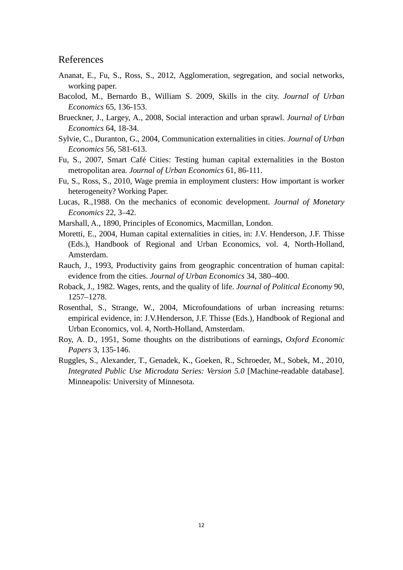#### References

- Ananat, E., Fu, S., Ross, S., 2012, Agglomeration, segregation, and social networks, working paper.
- Bacolod, M., Bernardo B., William S. 2009, Skills in the city. *Journal of Urban Economics* 65, 136-153.
- Brueckner, J., Largey, A., 2008, Social interaction and urban sprawl. *Journal of Urban Economics* 64, 18-34.
- Sylvie, C., Duranton, G., 2004, Communication externalities in cities. *Journal of Urban Economics* 56, 581-613.
- Fu, S., 2007, Smart Café Cities: Testing human capital externalities in the Boston metropolitan area. *Journal of Urban Economics* 61, 86-111.
- Fu, S., Ross, S., 2010, Wage premia in employment clusters: How important is worker heterogeneity? Working Paper.
- Lucas, R.,1988. On the mechanics of economic development. *Journal of Monetary Economics* 22, 3–42.
- Marshall, A., 1890, Principles of Economics, Macmillan, London.
- Moretti, E., 2004, Human capital externalities in cities, in: J.V. Henderson, J.F. Thisse (Eds.), Handbook of Regional and Urban Economics, vol. 4, North-Holland, Amsterdam.
- Rauch, J., 1993, Productivity gains from geographic concentration of human capital: evidence from the cities. *Journal of Urban Economics* 34, 380–400.
- Roback, J., 1982. Wages, rents, and the quality of life. *Journal of Political Economy* 90, 1257–1278.
- Rosenthal, S., Strange, W., 2004, Microfoundations of urban increasing returns: empirical evidence, in: J.V.Henderson, J.F. Thisse (Eds.), Handbook of Regional and Urban Economics, vol. 4, North-Holland, Amsterdam.
- Roy, A. D., 1951, Some thoughts on the distributions of earnings, *Oxford Economic Papers* 3, 135-146.
- Ruggles, S., Alexander, T., Genadek, K., Goeken, R., Schroeder, M., Sobek, M., 2010, *Integrated Public Use Microdata Series: Version 5.0* [Machine-readable database]. Minneapolis: University of Minnesota.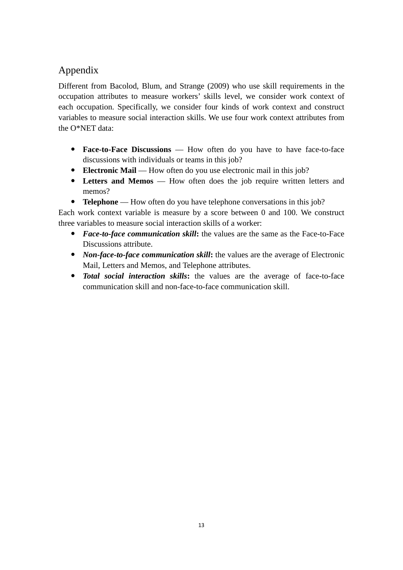# Appendix

Different from Bacolod, Blum, and Strange (2009) who use skill requirements in the occupation attributes to measure workers' skills level, we consider work context of each occupation. Specifically, we consider four kinds of work context and construct variables to measure social interaction skills. We use four work context attributes from the O\*NET data:

- **Face-to-Face Discussions** How often do you have to have face-to-face discussions with individuals or teams in this job?
- **Electronic Mail** How often do you use electronic mail in this job?
- **Letters and Memos** How often does the job require written letters and memos?
- **Telephone** How often do you have telephone conversations in this job?

Each work context variable is measure by a score between 0 and 100. We construct three variables to measure social interaction skills of a worker:

- *Face-to-face communication skill***:** the values are the same as the Face-to-Face Discussions attribute.
- *Non-face-to-face communication skill***:** the values are the average of Electronic Mail, Letters and Memos, and Telephone attributes.
- *Total social interaction skills***:** the values are the average of face-to-face communication skill and non-face-to-face communication skill.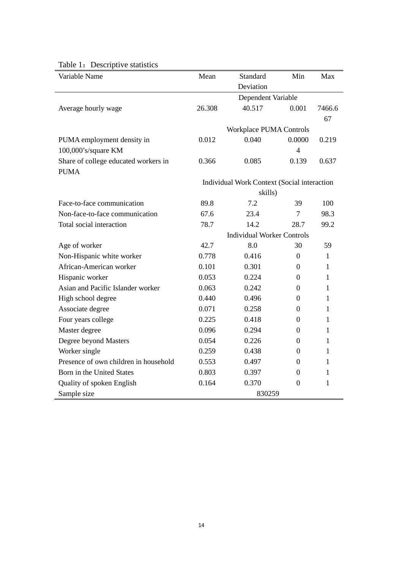| Variable Name                                       | Mean                                        | Standard                | Min              | Max          |  |
|-----------------------------------------------------|---------------------------------------------|-------------------------|------------------|--------------|--|
|                                                     |                                             | Deviation               |                  |              |  |
|                                                     | Dependent Variable                          |                         |                  |              |  |
| Average hourly wage                                 | 26.308                                      | 40.517                  | 0.001            | 7466.6<br>67 |  |
|                                                     |                                             | Workplace PUMA Controls |                  |              |  |
| PUMA employment density in                          | 0.012                                       | 0.040                   | 0.0000           | 0.219        |  |
| 100,000's/square KM                                 |                                             |                         | $\overline{4}$   |              |  |
| Share of college educated workers in<br><b>PUMA</b> | 0.366                                       | 0.085                   | 0.139            | 0.637        |  |
|                                                     | Individual Work Context (Social interaction |                         |                  |              |  |
|                                                     | skills)                                     |                         |                  |              |  |
| Face-to-face communication                          | 89.8                                        | 7.2                     | 39               | 100          |  |
| Non-face-to-face communication                      | 67.6                                        | 23.4                    | $\overline{7}$   | 98.3         |  |
| Total social interaction                            | 78.7                                        | 14.2                    | 28.7             | 99.2         |  |
|                                                     | <b>Individual Worker Controls</b>           |                         |                  |              |  |
| Age of worker                                       | 42.7                                        | 8.0                     | 30               | 59           |  |
| Non-Hispanic white worker                           | 0.778                                       | 0.416                   | $\boldsymbol{0}$ | $\mathbf{1}$ |  |
| African-American worker                             | 0.101                                       | 0.301                   | $\boldsymbol{0}$ | $\mathbf{1}$ |  |
| Hispanic worker                                     | 0.053                                       | 0.224                   | 0                | $\mathbf{1}$ |  |
| Asian and Pacific Islander worker                   | 0.063                                       | 0.242                   | 0                | $\mathbf{1}$ |  |
| High school degree                                  | 0.440                                       | 0.496                   | $\theta$         | $\mathbf{1}$ |  |
| Associate degree                                    | 0.071                                       | 0.258                   | $\boldsymbol{0}$ | 1            |  |
| Four years college                                  | 0.225                                       | 0.418                   | $\theta$         | 1            |  |
| Master degree                                       | 0.096                                       | 0.294                   | $\boldsymbol{0}$ | 1            |  |
| Degree beyond Masters                               | 0.054                                       | 0.226                   | 0                | 1            |  |
| Worker single                                       | 0.259                                       | 0.438                   | $\boldsymbol{0}$ | 1            |  |
| Presence of own children in household               | 0.553                                       | 0.497                   | $\boldsymbol{0}$ | $\mathbf{1}$ |  |
| Born in the United States                           | 0.803                                       | 0.397                   | $\Omega$         | $\mathbf{1}$ |  |
| Quality of spoken English                           | 0.164                                       | 0.370                   | $\overline{0}$   | $\mathbf{1}$ |  |
| Sample size                                         |                                             | 830259                  |                  |              |  |

# Table 1: Descriptive statistics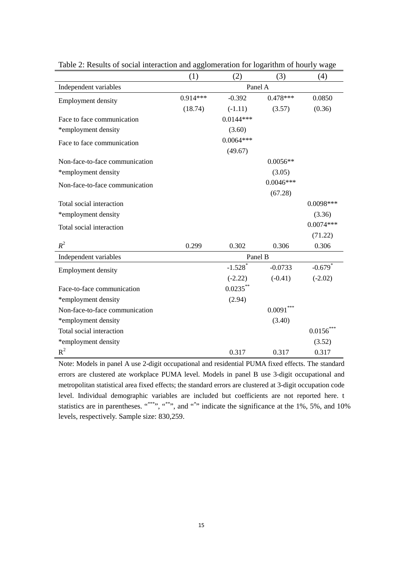|                                | (1)        | (2)                   | (3)         | (4)                   |  |
|--------------------------------|------------|-----------------------|-------------|-----------------------|--|
| Independent variables          | Panel A    |                       |             |                       |  |
| <b>Employment density</b>      | $0.914***$ | $-0.392$              | $0.478***$  | 0.0850                |  |
|                                | (18.74)    | $(-1.11)$             | (3.57)      | (0.36)                |  |
| Face to face communication     |            | $0.0144***$           |             |                       |  |
| *employment density            |            | (3.60)                |             |                       |  |
| Face to face communication     |            | $0.0064***$           |             |                       |  |
|                                |            | (49.67)               |             |                       |  |
| Non-face-to-face communication |            |                       | $0.0056**$  |                       |  |
| *employment density            |            |                       | (3.05)      |                       |  |
| Non-face-to-face communication |            |                       | $0.0046***$ |                       |  |
|                                |            |                       | (67.28)     |                       |  |
| Total social interaction       |            |                       |             | 0.0098***             |  |
| *employment density            |            |                       |             | (3.36)                |  |
| Total social interaction       |            |                       |             | $0.0074***$           |  |
|                                |            |                       |             | (71.22)               |  |
| $R^2$                          | 0.299      | 0.302                 | 0.306       | 0.306                 |  |
| Independent variables          | Panel B    |                       |             |                       |  |
| <b>Employment density</b>      |            | $-1.528$ <sup>*</sup> | $-0.0733$   | $-0.679$ <sup>*</sup> |  |
|                                |            | $(-2.22)$             | $(-0.41)$   | $(-2.02)$             |  |
| Face-to-face communication     |            | $0.0235***$           |             |                       |  |
| *employment density            |            | (2.94)                |             |                       |  |
| Non-face-to-face communication |            |                       | 0.0091      |                       |  |
| *employment density            |            |                       | (3.40)      |                       |  |
| Total social interaction       |            |                       |             | 0.0156                |  |
| *employment density            |            |                       |             | (3.52)                |  |
| $R^2$                          |            | 0.317                 | 0.317       | 0.317                 |  |

Table 2: Results of social interaction and agglomeration for logarithm of hourly wage

Note: Models in panel A use 2-digit occupational and residential PUMA fixed effects. The standard errors are clustered ate workplace PUMA level. Models in panel B use 3-digit occupational and metropolitan statistical area fixed effects; the standard errors are clustered at 3-digit occupation code level. Individual demographic variables are included but coefficients are not reported here. t statistics are in parentheses.  $10\%$ ,  $10\%$ ,  $10\%$ ,  $10\%$ ,  $10\%$ ,  $10\%$ ,  $10\%$ ,  $10\%$ levels, respectively. Sample size: 830,259.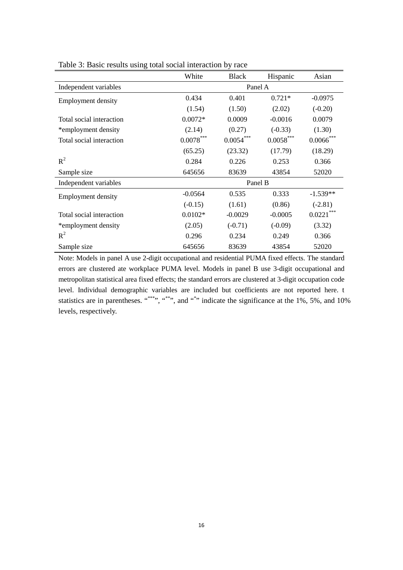| White                   | <b>Black</b>   | Hispanic    | Asian          |
|-------------------------|----------------|-------------|----------------|
| Panel A                 |                |             |                |
| 0.434                   | 0.401          | $0.721*$    | $-0.0975$      |
| (1.54)                  | (1.50)         | (2.02)      | $(-0.20)$      |
| $0.0072*$               | 0.0009         | $-0.0016$   | 0.0079         |
| (2.14)                  | (0.27)         | $(-0.33)$   | (1.30)         |
| $0.0078^{\ast\ast\ast}$ | $0.0054^{***}$ | $0.0058***$ | $0.0066^{***}$ |
| (65.25)                 | (23.32)        | (17.79)     | (18.29)        |
| 0.284                   | 0.226          | 0.253       | 0.366          |
| 645656                  | 83639          | 43854       | 52020          |
| Panel B                 |                |             |                |
| $-0.0564$               | 0.535          | 0.333       | $-1.539**$     |
| $(-0.15)$               | (1.61)         | (0.86)      | $(-2.81)$      |
| $0.0102*$               | $-0.0029$      | $-0.0005$   | $0.0221***$    |
| (2.05)                  | $(-0.71)$      | $(-0.09)$   | (3.32)         |
| 0.296                   | 0.234          | 0.249       | 0.366          |
| 645656                  | 83639          | 43854       | 52020          |
|                         |                |             |                |

Table 3: Basic results using total social interaction by race

Note: Models in panel A use 2-digit occupational and residential PUMA fixed effects. The standard errors are clustered ate workplace PUMA level. Models in panel B use 3-digit occupational and metropolitan statistical area fixed effects; the standard errors are clustered at 3-digit occupation code level. Individual demographic variables are included but coefficients are not reported here. t statistics are in parentheses.  $10\%$ ,  $10\%$ ,  $10\%$ ,  $10\%$ ,  $10\%$ ,  $10\%$ ,  $10\%$ ,  $10\%$ levels, respectively.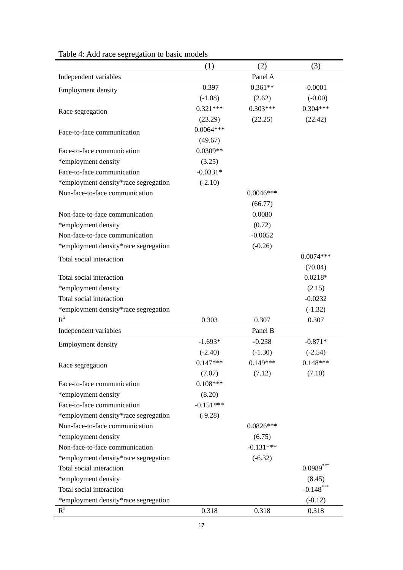|                                      | (1)         | (2)         | (3)         |
|--------------------------------------|-------------|-------------|-------------|
| Independent variables                |             | Panel A     |             |
| <b>Employment density</b>            | $-0.397$    | $0.361**$   | $-0.0001$   |
|                                      | $(-1.08)$   | (2.62)      | $(-0.00)$   |
| Race segregation                     | $0.321***$  | $0.303***$  | $0.304***$  |
|                                      | (23.29)     | (22.25)     | (22.42)     |
| Face-to-face communication           | $0.0064***$ |             |             |
|                                      | (49.67)     |             |             |
| Face-to-face communication           | $0.0309**$  |             |             |
| *employment density                  | (3.25)      |             |             |
| Face-to-face communication           | $-0.0331*$  |             |             |
| *employment density*race segregation | $(-2.10)$   |             |             |
| Non-face-to-face communication       |             | $0.0046***$ |             |
|                                      |             | (66.77)     |             |
| Non-face-to-face communication       |             | 0.0080      |             |
| *employment density                  |             | (0.72)      |             |
| Non-face-to-face communication       |             | $-0.0052$   |             |
| *employment density*race segregation |             | $(-0.26)$   |             |
| Total social interaction             |             |             | $0.0074***$ |
|                                      |             |             | (70.84)     |
| Total social interaction             |             |             | $0.0218*$   |
| *employment density                  |             |             | (2.15)      |
| Total social interaction             |             |             | $-0.0232$   |
| *employment density*race segregation |             |             | $(-1.32)$   |
| $R^2$                                | 0.303       | 0.307       | 0.307       |
| Independent variables                |             | Panel B     |             |
| <b>Employment density</b>            | $-1.693*$   | $-0.238$    | $-0.871*$   |
|                                      | $(-2.40)$   | $(-1.30)$   | $(-2.54)$   |
| Race segregation                     | $0.147***$  | $0.149***$  | $0.148***$  |
|                                      | (7.07)      | (7.12)      | (7.10)      |
| Face-to-face communication           | $0.108***$  |             |             |
| *employment density                  | (8.20)      |             |             |
| Face-to-face communication           | $-0.151***$ |             |             |
| *employment density*race segregation | $(-9.28)$   |             |             |
| Non-face-to-face communication       |             | $0.0826***$ |             |
| *employment density                  |             | (6.75)      |             |
| Non-face-to-face communication       |             | $-0.131***$ |             |
| *employment density*race segregation |             | $(-6.32)$   |             |
| Total social interaction             |             |             | $0.0989***$ |
| *employment density                  |             |             | (8.45)      |
| Total social interaction             |             |             | $-0.148***$ |
| *employment density*race segregation |             |             | $(-8.12)$   |
| $R^2$                                | 0.318       | 0.318       | 0.318       |

| Table 4: Add race segregation to basic models |  |  |  |
|-----------------------------------------------|--|--|--|
|-----------------------------------------------|--|--|--|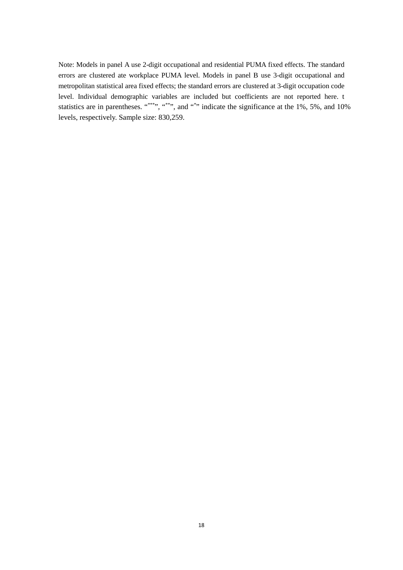Note: Models in panel A use 2-digit occupational and residential PUMA fixed effects. The standard errors are clustered ate workplace PUMA level. Models in panel B use 3-digit occupational and metropolitan statistical area fixed effects; the standard errors are clustered at 3-digit occupation code level. Individual demographic variables are included but coefficients are not reported here. t statistics are in parentheses.  $10\%$ ,  $10\%$ ,  $10\%$ ,  $10\%$ ,  $10\%$ ,  $10\%$ ,  $10\%$ ,  $10\%$ levels, respectively. Sample size: 830,259.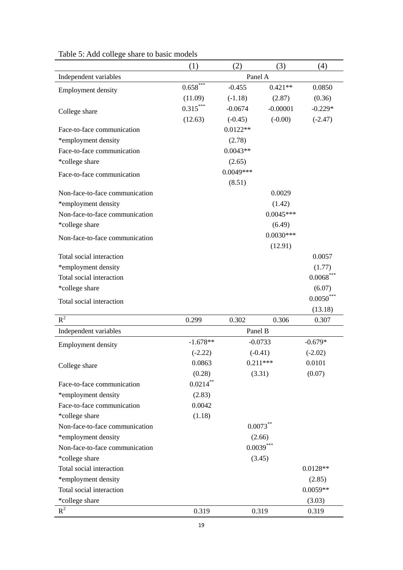|                                | (1)         | (2)         | (3)         | (4)          |
|--------------------------------|-------------|-------------|-------------|--------------|
| Independent variables          | Panel A     |             |             |              |
| <b>Employment density</b>      | $0.658***$  | $-0.455$    | $0.421**$   | 0.0850       |
|                                | (11.09)     | $(-1.18)$   | (2.87)      | (0.36)       |
| College share                  | $0.315***$  | $-0.0674$   | $-0.00001$  | $-0.229*$    |
|                                | (12.63)     | $(-0.45)$   | $(-0.00)$   | $(-2.47)$    |
| Face-to-face communication     |             | $0.0122**$  |             |              |
| *employment density            |             | (2.78)      |             |              |
| Face-to-face communication     |             | $0.0043**$  |             |              |
| *college share                 |             | (2.65)      |             |              |
| Face-to-face communication     |             | $0.0049***$ |             |              |
|                                |             | (8.51)      |             |              |
| Non-face-to-face communication |             |             | 0.0029      |              |
| *employment density            |             |             | (1.42)      |              |
| Non-face-to-face communication |             |             | $0.0045***$ |              |
| *college share                 |             |             | (6.49)      |              |
| Non-face-to-face communication |             |             | $0.0030***$ |              |
|                                |             |             | (12.91)     |              |
| Total social interaction       |             |             |             | 0.0057       |
| *employment density            |             |             |             | (1.77)       |
| Total social interaction       |             |             |             | $0.0068$ *** |
| *college share                 |             |             |             | (6.07)       |
| Total social interaction       |             |             |             | $0.0050***$  |
|                                |             |             |             | (13.18)      |
| $R^2$                          | 0.299       | 0.302       | 0.306       | 0.307        |
| Independent variables          |             | Panel B     |             |              |
| <b>Employment density</b>      | $-1.678**$  | $-0.0733$   |             | $-0.679*$    |
|                                | $(-2.22)$   | $(-0.41)$   |             | $(-2.02)$    |
| College share                  | 0.0863      | $0.211***$  |             | 0.0101       |
|                                | (0.28)      | (3.31)      |             | (0.07)       |
| Face-to-face communication     | $0.0214***$ |             |             |              |
| *employment density            | (2.83)      |             |             |              |
| Face-to-face communication     | 0.0042      |             |             |              |
| *college share                 | (1.18)      |             |             |              |
| Non-face-to-face communication |             |             | $0.0073***$ |              |
| *employment density            |             |             | (2.66)      |              |
| Non-face-to-face communication |             |             | $0.0039***$ |              |
| *college share                 |             |             | (3.45)      |              |
| Total social interaction       |             |             |             | $0.0128**$   |
| *employment density            |             |             |             | (2.85)       |
| Total social interaction       |             |             |             | $0.0059**$   |
| *college share                 |             |             |             | (3.03)       |
| $R^2$                          | 0.319       |             | 0.319       | 0.319        |

## Table 5: Add college share to basic models